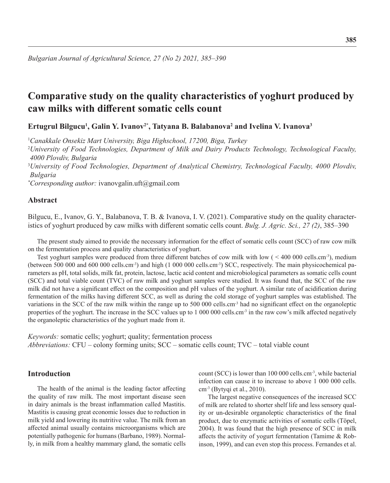*Bulgarian Journal of Agricultural Science, 27 (No 2) 2021, 385–390*

# **Comparative study on the quality characteristics of yoghurt produced by caw milks with different somatic cells count**

**Ertugrul Bilgucu1 , Galin Y. Ivanov2\*, Tatyana B. Balabanova2 and Ivelina V. Ivanova3**

1 *Canakkale Onsekiz Mart University, Biga Highschool, 17200, Biga, Turkey* 2 *University of Food Technologies, Department of Milk and Dairy Products Technology, Technological Faculty, 4000 Plovdiv, Bulgaria* 3 *University of Food Technologies, Department of Analytical Chemistry, Technological Faculty, 4000 Plovdiv, Bulgaria*

*\* Corresponding author:* ivanovgalin.uft@gmail.com

# **Abstract**

Bilgucu, E., Ivanov, G. Y., Balabanova, T. B. & Ivanova, I. V. (2021). Comparative study on the quality characteristics of yoghurt produced by caw milks with different somatic cells count. *Bulg. J. Agric. Sci., 27 (2)*, 385–390

The present study aimed to provide the necessary information for the effect of somatic cells count (SCC) of raw cow milk on the fermentation process and quality characteristics of yoghurt.

Test yoghurt samples were produced from three different batches of cow milk with low ( < 400 000 cells.cm<sup>-3</sup>), medium (between 500 000 and 600 000 cells.cm<sup>-3</sup>) and high (1 000 000 cells.cm<sup>-3</sup>) SCC, respectively. The main physicochemical parameters as pH, total solids, milk fat, protein, lactose, lactic acid content and microbiological parameters as somatic cells count (SCC) and total viable count (TVC) of raw milk and yoghurt samples were studied. It was found that, the SCC of the raw milk did not have a significant effect on the composition and pH values of the yoghurt. A similar rate of acidification during fermentation of the milks having different SCC, as well as during the cold storage of yoghurt samples was established. The variations in the SCC of the raw milk within the range up to 500 000 cells.cm-3 had no significant effect on the organoleptic properties of the yoghurt. The increase in the SCC values up to 1 000 000 cells.cm<sup>-3</sup> in the raw cow's milk affected negatively the organoleptic characteristics of the yoghurt made from it.

*Keywords:* somatic cells; yoghurt; quality; fermentation process *Abbreviations:* CFU – colony forming units; SCC – somatic cells count; TVC – total viable count

## **Introduction**

The health of the animal is the leading factor affecting the quality of raw milk. The most important disease seen in dairy animals is the breast inflammation called Mastitis. Mastitis is causing great economic losses due to reduction in milk yield and lowering its nutritive value. The milk from an affected animal usually contains microorganisms which are potentially pathogenic for humans (Barbano, 1989). Normally, in milk from a healthy mammary gland, the somatic cells

count (SCC) is lower than 100 000 cells.cm-3, while bacterial infection can cause it to increase to above 1 000 000 cells. cm-3 (Bytyqi et al., 2010).

The largest negative consequences of the increased SCC of milk are related to shorter shelf life and less sensory quality or un-desirable organoleptic characteristics of the final product, due to enzymatic activities of somatic cells (Töpel, 2004). It was found that the high presence of SCC in milk affects the activity of yogurt fermentation (Tamime & Robinson, 1999), and can even stop this process. Fernandes et al.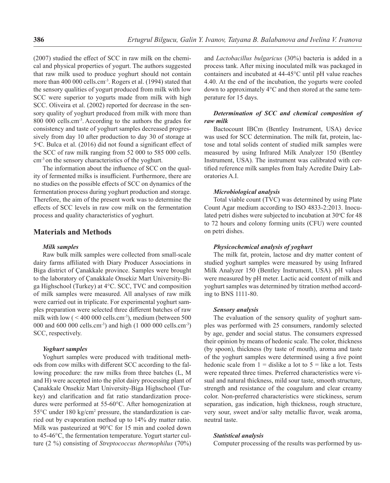(2007) studied the effect of SCC in raw milk on the chemical and physical properties of yogurt. The authors suggested that raw milk used to produce yoghurt should not contain more than 400 000 cells.cm<sup>-3</sup>. Rogers et al. (1994) stated that the sensory qualities of yogurt produced from milk with low SCC were superior to yogurts made from milk with high SCC. Oliveira et al. (2002) reported for decrease in the sensory quality of yoghurt produced from milk with more than 800 000 cells.cm-3. According to the authors the grades for consistency and taste of yoghurt samples decreased progressively from day 10 after production to day 30 of storage at 5 °C. Bulca et al. (2016) did not found a significant effect of the SCC of raw milk ranging from 52 000 to 585 000 cells. cm-3 on the sensory characteristics of the yoghurt.

The information about the influence of SCC on the quality of fermented milks is insufficient. Furthermore, there are no studies on the possible effects of SCC on dynamics of the fermentation process during yoghurt production and storage. Therefore, the aim of the present work was to determine the effects of SCC levels in raw cow milk on the fermentation process and quality characteristics of yoghurt.

## **Materials and Methods**

#### *Milk samples*

Raw bulk milk samples were collected from small-scale dairy farms affiliated with Diary Producer Associations in Biga district of Çanakkale province. Samples were brought to the laboratory of Çanakkale Onsekiz Mart University-Biga Highschool (Turkey) at 4°C. SCC, TVC and composition of milk samples were measured. All analyses of raw milk were carried out in triplicate. For experimental yoghurt samples preparation were selected three different batches of raw milk with low  $(< 400 000$  cells.cm<sup>-3</sup>), medium (between 500) 000 and 600 000 cells.cm-3) and high (1 000 000 cells.cm-3) SCC, respectively.

#### *Yoghurt samples*

Yoghurt samples were produced with traditional methods from cow milks with different SCC according to the fallowing procedure: the raw milks from three batches (L, M and H) were accepted into the pilot dairy processing plant of Çanakkale Onsekiz Mart University-Biga Highschool (Turkey) and clarification and fat ratio standardization procedures were performed at 55-60°C. After homogenization at 55°C under 180 kg/cm<sup>2</sup> pressure, the standardization is carried out by evaporation method up to 14% dry matter ratio. Milk was pasteurized at 90°C for 15 min and cooled down to 45-46°C, the fermentation temperature. Yogurt starter culture (2 %) consisting of *Streptococcus thermophilus* (70%)

and *Lactobacillus bulgaricus* (30%) bacteria is added in a process tank. After mixing inoculated milk was packaged in containers and incubated at 44-45°C until pH value reaches 4.40. At the end of the incubation, the yogurts were cooled down to approximately 4°C and then stored at the same temperature for 15 days.

## *Determination of SCC and chemical composition of raw milk*

Bactocount IBCm (Bentley Instrument, USA) device was used for SCC determination. The milk fat, protein, lactose and total solids content of studied milk samples were measured by using Infrared Milk Analyzer 150 (Bentley Instrument, USA). The instrument was calibrated with certified reference milk samples from Italy Acredite Dairy Laboratories A.I.

### *Microbiological analysis*

Total viable count (TVC) was determined by using Plate Count Agar medium according to ISO 4833-2:2013. Inoculated petri dishes were subjected to incubation at  $30^{\circ}$ C for 48 to 72 hours and colony forming units (CFU) were counted on petri dishes.

#### *Physicochemical analysis of yoghurt*

The milk fat, protein, lactose and dry matter content of studied yoghurt samples were measured by using Infrared Milk Analyzer 150 (Bentley Instrument, USA). рН values were measured by pH meter. Lactic acid content of milk and yoghurt samples was determined by titration method according to BNS 1111-80.

#### *Sensory analysis*

The evaluation of the sensory quality of yoghurt samples was performed with 25 consumers, randomly selected by age, gender and social status. The consumers expressed their opinion by means of hedonic scale. The color, thickness (by spoon), thickness (by taste of mouth), aroma and taste of the yoghurt samples were determined using a five point hedonic scale from  $1 =$  dislike a lot to  $5 =$  like a lot. Tests were repeated three times. Preferred characteristics were visual and natural thickness, mild sour taste, smooth structure, strength and resistance of the coagulum and clear creamy color. Non-preferred characteristics were stickiness, serum separation, gas indication, high thickness, rough structure, very sour, sweet and/or salty metallic flavor, weak aroma, neutral taste.

#### *Statistical analysis*

Computer processing of the results was performed by us-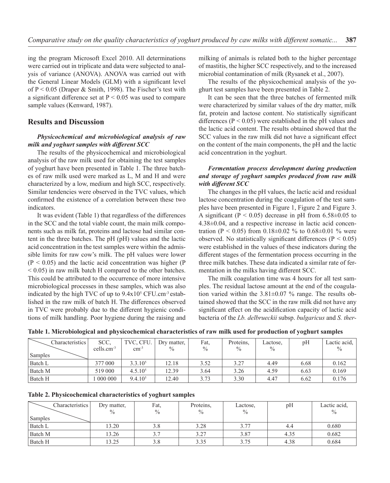ing the program Microsoft Excel 2010. All determinations were carried out in triplicate and data were subjected to analysis of variance (ANOVA). ANOVA was carried out with the General Linear Models (GLM) with a significant level of P < 0.05 (Draper & Smith, 1998). The Fischer's test with a significant difference set at  $P < 0.05$  was used to compare sample values (Kenward, 1987).

# **Results and Discussion**

## *Physicochemical and microbiological analysis of raw milk and yoghurt samples with different SCC*

The results of the physicochemical and microbiological analysis of the raw milk used for obtaining the test samples of yoghurt have been presented in Table 1. The three batches of raw milk used were marked as L, M and H and were characterized by a low, medium and high SCC, respectively. Similar tendencies were observed in the TVC values, which confirmed the existence of a correlation between these two indicators.

It was evident (Table 1) that regardless of the differences in the SCC and the total viable count, the main milk components such as milk fat, proteins and lactose had similar content in the three batches. The pH (pH) values and the lactic acid concentration in the test samples were within the admissible limits for raw cow's milk. The pH values were lower  $(P < 0.05)$  and the lactic acid concentration was higher (P) < 0.05) in raw milk batch H compared to the other batches. This could be attributed to the occurrence of more intensive microbiological processes in these samples, which was also indicated by the high TVC of up to  $9.4 \times 10^5$  CFU.cm<sup>-3</sup> established in the raw milk of batch H. The differences observed in TVC were probably due to the different hygienic conditions of milk handling. Poor hygiene during the raising and milking of animals is related both to the higher percentage of mastitis, the higher SCC respectively, and to the increased microbial contamination of milk (Rysanek et al., 2007).

The results of the physicochemical analysis of the yoghurt test samples have been presented in Table 2.

It can be seen that the three batches of fermented milk were characterized by similar values of the dry matter, milk fat, protein and lactose content. No statistically significant differences ( $P < 0.05$ ) were established in the pH values and the lactic acid content. The results obtained showed that the SCC values in the raw milk did not have a significant effect on the content of the main components, the pH and the lactic acid concentration in the yoghurt.

# *Fermentation process development during production and storage of yoghurt samples produced from raw milk with different SCC*

The changes in the pH values, the lactic acid and residual lactose concentration during the coagulation of the test samples have been presented in Figure 1, Figure 2 and Figure 3. A significant ( $P < 0.05$ ) decrease in pH from 6.58 $\pm$ 0.05 to 4.38±0.04, and a respective increase in lactic acid concentration ( $P < 0.05$ ) from  $0.18 \pm 0.02$  % to  $0.68 \pm 0.01$  % were observed. No statistically significant differences ( $P < 0.05$ ) were established in the values of these indicators during the different stages of the fermentation process occurring in the three milk batches. These data indicated a similar rate of fermentation in the milks having different SCC.

The milk coagulation time was 4 hours for all test samples. The residual lactose amount at the end of the coagulation varied within the 3.81±0.07 % range. The results obtained showed that the SCC in the raw milk did not have any significant effect on the acidification capacity of lactic acid bacteria of the *Lb. delbrueckii* subsp. *bulgaricus* and *S. ther-*

| Table 1. Microbiological and physicochemical characteristics of raw milk used for production of yoghurt samples |  |  |  |  |  |
|-----------------------------------------------------------------------------------------------------------------|--|--|--|--|--|
|-----------------------------------------------------------------------------------------------------------------|--|--|--|--|--|

| Characteristics | SCC,         | TVC, CFU.           | Dry matter,   | Fat.          | Proteins, | Lactose, | pH   | Lactic acid,  |
|-----------------|--------------|---------------------|---------------|---------------|-----------|----------|------|---------------|
|                 | $cells.cm-3$ | $cm^{-3}$           | $\frac{0}{0}$ | $\frac{0}{0}$ | $\%$      | $\%$     |      | $\frac{0}{0}$ |
| Samples         |              |                     |               |               |           |          |      |               |
| Batch L         | 377 000      | $3.3.10^{5}$        | 12.18         | 3.52          | 3.27      | 4.49     | 6.68 | 0.162         |
| Batch M         | 519 000      | $4.5.10^{5}$        | 12.39         | 3.64          | 3.26      | 4.59     | 6.63 | 0.169         |
| Batch H         | 000 000      | 9.4.10 <sup>5</sup> | 12.40         | 3.73          | 3.30      | 4.47     | 6.62 | 0.176         |

|  | Table 2. Physicochemical characteristics of yoghurt samples |  |
|--|-------------------------------------------------------------|--|
|  |                                                             |  |

| Characteristics | Dry matter,   | Fat.          | Proteins,     | Lactose,      | pH   | Lactic acid,  |
|-----------------|---------------|---------------|---------------|---------------|------|---------------|
|                 | $\frac{0}{0}$ | $\frac{0}{0}$ | $\frac{0}{0}$ | $\frac{0}{0}$ |      | $\frac{0}{0}$ |
| Samples         |               |               |               |               |      |               |
| Batch L         | 13.20         |               | 3.28          | 3.77          |      | 0.680         |
| Batch M         | 13.26         | 3.7           | 3.27          | 3.87          | 4.35 | 0.682         |
| Batch H         | 13.25         | 3.8           | 3.35          | 3.75          | 4.38 | 0.684         |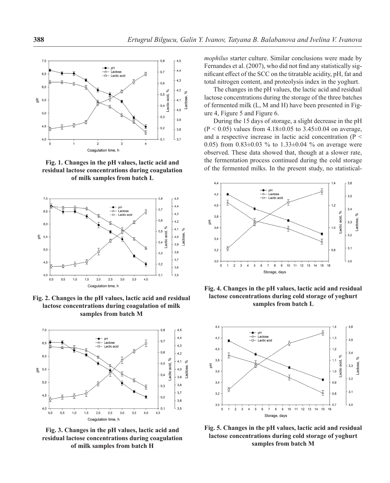

**residual lactose concentrations during coagulation of milk samples from batch L**



**Fig. 2. Changes in the pH values, lactic acid and residual lactose concentrations during coagulation of milk samples from batch M**



**Fig. 3. Changes in the pH values, lactic acid and residual lactose concentrations during coagulation of milk samples from batch H**

*mophilus* starter culture. Similar conclusions were made by Fernandes et al. (2007), who did not find any statistically significant effect of the SCC on the titratable acidity, pH, fat and total nitrogen content, and proteolysis index in the yoghurt.

The changes in the pH values, the lactic acid and residual lactose concentrations during the storage of the three batches of fermented milk (L, M and H) have been presented in Figure 4, Figure 5 and Figure 6.

During the 15 days of storage, a slight decrease in the pH  $(P < 0.05)$  values from 4.18±0.05 to 3.45±0.04 on average, and a respective increase in lactic acid concentration (Р < 0.05) from  $0.83 \pm 0.03$  % to  $1.33 \pm 0.04$  % on average were observed. These data showed that, though at a slower rate, the fermentation process continued during the cold storage **of the fermentation process continued during the cold storage**<br>**Fig. 1. Changes in the pH values, lactic acid and** <sup>the</sup> fermented milks. In the present study, no statistical-<br>**Fig. 1. Changes in the pH values, lactic a** 



**Fig. 4. Changes in the pH values, lactic acid and residual lactose concentrations during cold storage of yoghurt samples from batch L**



**Fig. 5. Changes in the pH values, lactic acid and residual lactose concentrations during cold storage of yoghurt samples from batch M**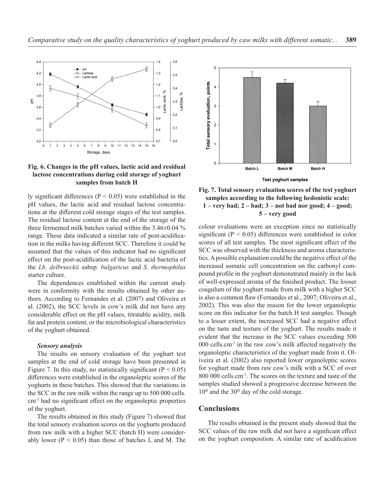



ly significant differences ( $P < 0.05$ ) were established in the pH values, the lactic acid and residual lactose concentrations at the different cold storage stages of the test samples. The residual lactose content at the end of the storage of the three fermented milk batches varied within the 3.46±0.04 % range. These data indicated a similar rate of post-acidification in the milks having different SCC. Therefore it could be assumed that the values of this indicator had no significant effect on the post-acidification of the lactic acid bacteria of the *Lb. delbrueckii* subsp. *bulgaricus* and *S. thermophilus*  starter culture.

The dependences established within the current study were in conformity with the results obtained by other authors. According to Fernandes et al. (2007) and Oliveira et al. (2002), the SCC levels in cow's milk did not have any considerable effect on the pH values, titratable acidity, milk fat and protein content, or the microbiological characteristics of the yoghurt obtained.

## *Sensory analysis*

The results on sensory evaluation of the yoghurt test samples at the end of cold storage have been presented in Figure 7. In this study, no statistically significant ( $P < 0.05$ ) differences were established in the organoleptic scores of the yoghurts in these batches. This showed that the variations in the SCC in the raw milk within the range up to 500 000 cells. cm-3 had no significant effect on the organoleptic properties of the yoghurt.

The results obtained in this study (Figure 7) showed that the total sensory evaluation scores on the yoghurts produced from raw milk with a higher SCC (batch H) were considerably lower ( $P < 0.05$ ) than those of batches L and M. The





colour evaluations were an exception since no statistically significant (P < 0.05) differences were established in color scores of all test samples. The most significant effect of the SCC was observed with the thickness and aroma characteristics. A possible explanation could be the negative effect of the increased somatic cell concentration on the carbonyl compound profile in the yoghurt demonstrated mainly in the lack of well-expressed aroma of the finished product. The looser coagulum of the yoghurt made from milk with a higher SCC is also a common flaw (Fernandes et al., 2007; Oliveira et al., 2002). This was also the reason for the lower organoleptic score on this indicator for the batch H test samples. Though to a lesser extent, the increased SCC had a negative effect on the taste and texture of the yoghurt. The results made it evident that the increase in the SCC values exceeding 500 000 cells.cm-3 in the raw cow's milk affected negatively the organoleptic characteristics of the yoghurt made from it. Oliveira et al. (2002) also reported lower organoleptic scores for yoghurt made from raw cow's milk with a SCC of over 800 000 cells.cm-3. The scores on the texture and taste of the samples studied showed a progressive decrease between the 10<sup>th</sup> and the 30<sup>th</sup> day of the cold storage.

# **Conclusions**

The results obtained in the present study showed that the SCC values of the raw milk did not have a significant effect on the yoghurt composition. A similar rate of acidification